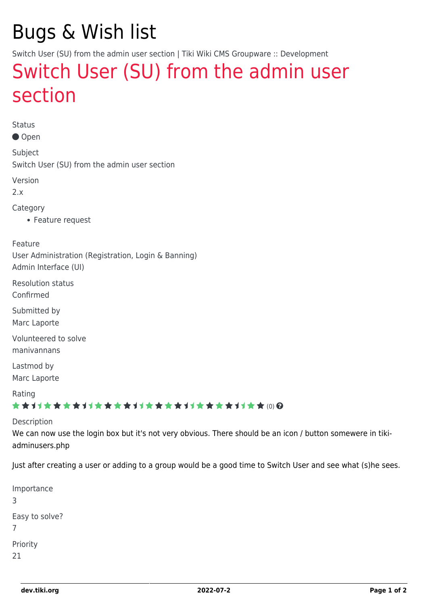# Bugs & Wish list

Switch User (SU) from the admin user section | Tiki Wiki CMS Groupware :: Development

## [Switch User \(SU\) from the admin user](https://dev.tiki.org/item1426-Switch-User-SU-from-the-admin-user-section) [section](https://dev.tiki.org/item1426-Switch-User-SU-from-the-admin-user-section)

Status

● Open

Subject Switch User (SU) from the admin user section

Version

2.x

Category

Feature request

Feature User Administration (Registration, Login & Banning) Admin Interface (UI)

Resolution status Confirmed

Submitted by Marc Laporte

Volunteered to solve manivannans

Lastmod by Marc Laporte

Rating

★★11★★★★11★★★★11★★★★11★★★★+11★★ (0) @

Description

We can now use the login box but it's not very obvious. There should be an icon / button somewere in tikiadminusers.php

Just after creating a user or adding to a group would be a good time to Switch User and see what (s)he sees.

| Importance<br>3     |
|---------------------|
| Easy to solve?<br>7 |
| Priority            |
| 21                  |